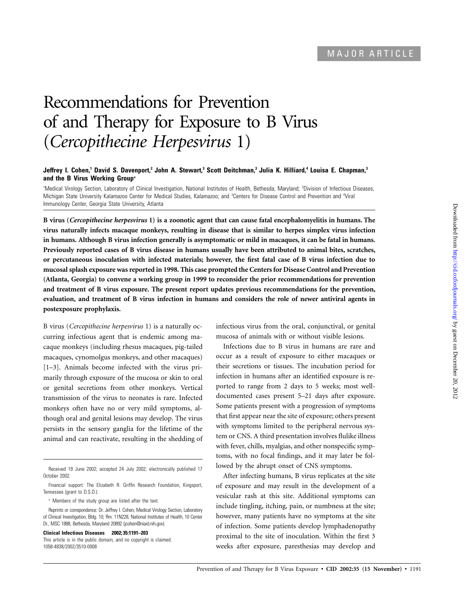# Recommendations for Prevention of and Therapy for Exposure to B Virus (*Cercopithecine Herpesvirus* 1)

## **Jeffrey I. Cohen,1 David S. Davenport,2 John A. Stewart,3 Scott Deitchman,3 Julia K. Hilliard,4 Louisa E. Chapman,3 and the B Virus Working Group<sup>a</sup>**

<sup>1</sup>Medical Virology Section, Laboratory of Clinical Investigation, National Institutes of Health, Bethesda, Maryland; <sup>2</sup>Division of Infectious Diseases, Michigan State University Kalamazoo Center for Medical Studies, Kalamazoo; and <sup>3</sup>Centers for Disease Control and Prevention and <sup>4</sup>Viral Immunology Center, Georgia State University, Atlanta

**B virus (***Cercopithecine herpesvirus* **1) is a zoonotic agent that can cause fatal encephalomyelitis in humans. The virus naturally infects macaque monkeys, resulting in disease that is similar to herpes simplex virus infection in humans. Although B virus infection generally is asymptomatic or mild in macaques, it can be fatal in humans. Previously reported cases of B virus disease in humans usually have been attributed to animal bites, scratches, or percutaneous inoculation with infected materials; however, the first fatal case of B virus infection due to mucosal splash exposure was reported in 1998. This case prompted the Centers for Disease Control and Prevention (Atlanta, Georgia) to convene a working group in 1999 to reconsider the prior recommendations for prevention and treatment of B virus exposure. The present report updates previous recommendations for the prevention, evaluation, and treatment of B virus infection in humans and considers the role of newer antiviral agents in postexposure prophylaxis.**

B virus (*Cercopithecine herpesvirus* 1) is a naturally occurring infectious agent that is endemic among macaque monkeys (including rhesus macaques, pig-tailed macaques, cynomolgus monkeys, and other macaques) [1–3]. Animals become infected with the virus primarily through exposure of the mucosa or skin to oral or genital secretions from other monkeys. Vertical transmission of the virus to neonates is rare. Infected monkeys often have no or very mild symptoms, although oral and genital lesions may develop. The virus persists in the sensory ganglia for the lifetime of the animal and can reactivate, resulting in the shedding of

<sup>a</sup> Members of the study group are listed after the text.

**Clinical Infectious Diseases 2002; 35:1191–203**

infectious virus from the oral, conjunctival, or genital mucosa of animals with or without visible lesions.

Infections due to B virus in humans are rare and occur as a result of exposure to either macaques or their secretions or tissues. The incubation period for infection in humans after an identified exposure is reported to range from 2 days to 5 weeks; most welldocumented cases present 5–21 days after exposure. Some patients present with a progression of symptoms that first appear near the site of exposure; others present with symptoms limited to the peripheral nervous system or CNS. A third presentation involves flulike illness with fever, chills, myalgias, and other nonspecific symptoms, with no focal findings, and it may later be followed by the abrupt onset of CNS symptoms.

After infecting humans, B virus replicates at the site of exposure and may result in the development of a vesicular rash at this site. Additional symptoms can include tingling, itching, pain, or numbness at the site; however, many patients have no symptoms at the site of infection. Some patients develop lymphadenopathy proximal to the site of inoculation. Within the first 3 weeks after exposure, paresthesias may develop and

Received 19 June 2002; accepted 24 July 2002; electronically published 17 October 2002.

Financial support: The Elizabeth R. Griffin Research Foundation, Kingsport, Tennessee (grant to D.S.D.).

Reprints or correpondence: Dr. Jeffrey I. Cohen, Medical Virology Section, Laboratory of Clinical Investigation, Bldg. 10; Rm. 11N228, National Institutes of Health, 10 Center Dr., MSC 1888, Bethesda, Maryland 20892 (jcohen@niaid.nih.gov).

This article is in the public domain, and no copyright is claimed. 1058-4838/2002/3510-0008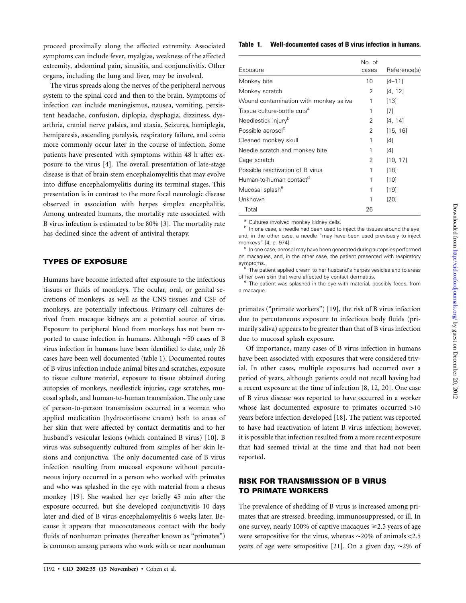proceed proximally along the affected extremity. Associated symptoms can include fever, myalgias, weakness of the affected extremity, abdominal pain, sinusitis, and conjunctivitis. Other organs, including the lung and liver, may be involved.

The virus spreads along the nerves of the peripheral nervous system to the spinal cord and then to the brain. Symptoms of infection can include meningismus, nausea, vomiting, persistent headache, confusion, diplopia, dysphagia, dizziness, dysarthria, cranial nerve palsies, and ataxia. Seizures, hemiplegia, hemiparesis, ascending paralysis, respiratory failure, and coma more commonly occur later in the course of infection. Some patients have presented with symptoms within 48 h after exposure to the virus [4]. The overall presentation of late-stage disease is that of brain stem encephalomyelitis that may evolve into diffuse encephalomyelitis during its terminal stages. This presentation is in contrast to the more focal neurologic disease observed in association with herpes simplex encephalitis. Among untreated humans, the mortality rate associated with B virus infection is estimated to be 80% [3]. The mortality rate has declined since the advent of antiviral therapy.

# **TYPES OF EXPOSURE**

Humans have become infected after exposure to the infectious tissues or fluids of monkeys. The ocular, oral, or genital secretions of monkeys, as well as the CNS tissues and CSF of monkeys, are potentially infectious. Primary cell cultures derived from macaque kidneys are a potential source of virus. Exposure to peripheral blood from monkeys has not been reported to cause infection in humans. Although ∼50 cases of B virus infection in humans have been identified to date, only 26 cases have been well documented (table 1). Documented routes of B virus infection include animal bites and scratches, exposure to tissue culture material, exposure to tissue obtained during autopsies of monkeys, needlestick injuries, cage scratches, mucosal splash, and human-to-human transmission. The only case of person-to-person transmission occurred in a woman who applied medication (hydrocortisone cream) both to areas of her skin that were affected by contact dermatitis and to her husband's vesicular lesions (which contained B virus) [10]. B virus was subsequently cultured from samples of her skin lesions and conjunctiva. The only documented case of B virus infection resulting from mucosal exposure without percutaneous injury occurred in a person who worked with primates and who was splashed in the eye with material from a rhesus monkey [19]. She washed her eye briefly 45 min after the exposure occurred, but she developed conjunctivitis 10 days later and died of B virus encephalomyelitis 6 weeks later. Because it appears that mucocutaneous contact with the body fluids of nonhuman primates (hereafter known as "primates") is common among persons who work with or near nonhuman

#### **Table 1. Well-documented cases of B virus infection in humans.**

| Exposure                                | No. of<br>cases | Reference(s) |
|-----------------------------------------|-----------------|--------------|
| Monkey bite                             | 10              | $[4 - 11]$   |
| Monkey scratch                          | 2               | [4, 12]      |
| Wound contamination with monkey saliva  | 1               | [13]         |
| Tissue culture-bottle cuts <sup>a</sup> | 1               | [7]          |
| Needlestick injury <sup>b</sup>         | 2               | [4, 14]      |
| Possible aerosol <sup>c</sup>           | 2               | [15, 16]     |
| Cleaned monkey skull                    | 1               | [4]          |
| Needle scratch and monkey bite          | 1               | [4]          |
| Cage scratch                            | 2               | [10, 17]     |
| Possible reactivation of B virus        | 1               | [18]         |
| Human-to-human contact <sup>d</sup>     | 1               | [10]         |
| Mucosal splash <sup>e</sup>             | 1               | [19]         |
| Unknown                                 | 1               | [20]         |
| Total                                   | 26              |              |

 $\alpha$  Cultures involved monkey kidney cells.<br> $\alpha$  In one case, a needle had been used to inject the tissues around the eye, and, in the other case, a needle "may have been used previously to inject monkeys" [4, p. 974].<br> $\degree$  In one case, aerosol may have been generated during autopsies performed

on macaques, and, in the other case, the patient presented with respiratory symptoms.<br>d The patient applied cream to her husband's herpes vesicles and to areas

of her own skin that were affected by contact dermatitis.<br><sup>e</sup> The patient was splashed in the eye with material, possibly feces, from

a macaque.

primates ("primate workers") [19], the risk of B virus infection due to percutaneous exposure to infectious body fluids (primarily saliva) appears to be greater than that of B virus infection due to mucosal splash exposure.

Of importance, many cases of B virus infection in humans have been associated with exposures that were considered trivial. In other cases, multiple exposures had occurred over a period of years, although patients could not recall having had a recent exposure at the time of infection [8, 12, 20]. One case of B virus disease was reported to have occurred in a worker whose last documented exposure to primates occurred  $>10$ years before infection developed [18]. The patient was reported to have had reactivation of latent B virus infection; however, it is possible that infection resulted from a more recent exposure that had seemed trivial at the time and that had not been reported.

# **RISK FOR TRANSMISSION OF B VIRUS TO PRIMATE WORKERS**

The prevalence of shedding of B virus is increased among primates that are stressed, breeding, immunosuppressed, or ill. In one survey, nearly 100% of captive macaques  $\geq 2.5$  years of age were seropositive for the virus, whereas ~20% of animals <2.5 years of age were seropositive [21]. On a given day, ∼2% of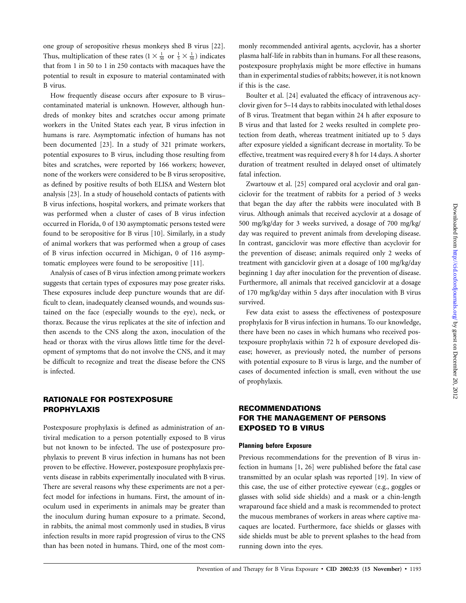one group of seropositive rhesus monkeys shed B virus [22]. Thus, multiplication of these rates  $(1 \times \frac{1}{50}$  or  $\frac{1}{5} \times \frac{1}{50})$  indicates that from 1 in 50 to 1 in 250 contacts with macaques have the potential to result in exposure to material contaminated with B virus.

How frequently disease occurs after exposure to B virus– contaminated material is unknown. However, although hundreds of monkey bites and scratches occur among primate workers in the United States each year, B virus infection in humans is rare. Asymptomatic infection of humans has not been documented [23]. In a study of 321 primate workers, potential exposures to B virus, including those resulting from bites and scratches, were reported by 166 workers; however, none of the workers were considered to be B virus seropositive, as defined by positive results of both ELISA and Western blot analysis [23]. In a study of household contacts of patients with B virus infections, hospital workers, and primate workers that was performed when a cluster of cases of B virus infection occurred in Florida, 0 of 130 asymptomatic persons tested were found to be seropositive for B virus [10]. Similarly, in a study of animal workers that was performed when a group of cases of B virus infection occurred in Michigan, 0 of 116 asymptomatic employees were found to be seropositive [11].

Analysis of cases of B virus infection among primate workers suggests that certain types of exposures may pose greater risks. These exposures include deep puncture wounds that are difficult to clean, inadequately cleansed wounds, and wounds sustained on the face (especially wounds to the eye), neck, or thorax. Because the virus replicates at the site of infection and then ascends to the CNS along the axon, inoculation of the head or thorax with the virus allows little time for the development of symptoms that do not involve the CNS, and it may be difficult to recognize and treat the disease before the CNS is infected.

# **RATIONALE FOR POSTEXPOSURE PROPHYLAXIS**

Postexposure prophylaxis is defined as administration of antiviral medication to a person potentially exposed to B virus but not known to be infected. The use of postexposure prophylaxis to prevent B virus infection in humans has not been proven to be effective. However, postexposure prophylaxis prevents disease in rabbits experimentally inoculated with B virus. There are several reasons why these experiments are not a perfect model for infections in humans. First, the amount of inoculum used in experiments in animals may be greater than the inoculum during human exposure to a primate. Second, in rabbits, the animal most commonly used in studies, B virus infection results in more rapid progression of virus to the CNS than has been noted in humans. Third, one of the most com-

monly recommended antiviral agents, acyclovir, has a shorter plasma half-life in rabbits than in humans. For all these reasons, postexposure prophylaxis might be more effective in humans than in experimental studies of rabbits; however, it is not known if this is the case.

Boulter et al. [24] evaluated the efficacy of intravenous acyclovir given for 5–14 days to rabbits inoculated with lethal doses of B virus. Treatment that began within 24 h after exposure to B virus and that lasted for 2 weeks resulted in complete protection from death, whereas treatment initiated up to 5 days after exposure yielded a significant decrease in mortality. To be effective, treatment was required every 8 h for 14 days. A shorter duration of treatment resulted in delayed onset of ultimately fatal infection.

Zwartouw et al. [25] compared oral acyclovir and oral ganciclovir for the treatment of rabbits for a period of 3 weeks that began the day after the rabbits were inoculated with B virus. Although animals that received acyclovir at a dosage of 500 mg/kg/day for 3 weeks survived, a dosage of 700 mg/kg/ day was required to prevent animals from developing disease. In contrast, ganciclovir was more effective than acyclovir for the prevention of disease; animals required only 2 weeks of treatment with ganciclovir given at a dosage of 100 mg/kg/day beginning 1 day after inoculation for the prevention of disease. Furthermore, all animals that received ganciclovir at a dosage of 170 mg/kg/day within 5 days after inoculation with B virus survived.

Few data exist to assess the effectiveness of postexposure prophylaxis for B virus infection in humans. To our knowledge, there have been no cases in which humans who received postexposure prophylaxis within 72 h of exposure developed disease; however, as previously noted, the number of persons with potential exposure to B virus is large, and the number of cases of documented infection is small, even without the use of prophylaxis.

# **RECOMMENDATIONS FOR THE MANAGEMENT OF PERSONS EXPOSED TO B VIRUS**

### **Planning before Exposure**

Previous recommendations for the prevention of B virus infection in humans [1, 26] were published before the fatal case transmitted by an ocular splash was reported [19]. In view of this case, the use of either protective eyewear (e.g., goggles or glasses with solid side shields) and a mask or a chin-length wraparound face shield and a mask is recommended to protect the mucous membranes of workers in areas where captive macaques are located. Furthermore, face shields or glasses with side shields must be able to prevent splashes to the head from running down into the eyes.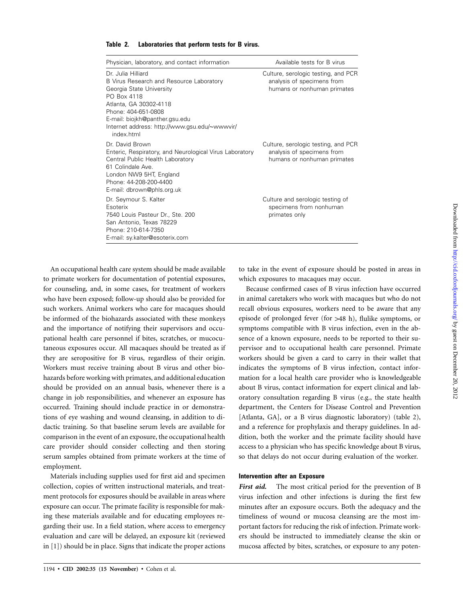| Physician, laboratory, and contact information                                                                                                                                                                                                              | Available tests for B virus                                                                      |
|-------------------------------------------------------------------------------------------------------------------------------------------------------------------------------------------------------------------------------------------------------------|--------------------------------------------------------------------------------------------------|
| Dr. Julia Hilliard<br>B Virus Research and Resource Laboratory<br>Georgia State University<br>PO Box 4118<br>Atlanta, GA 30302-4118<br>Phone: 404-651-0808<br>E-mail: biojkh@panther.gsu.edu<br>Internet address: http://www.gsu.edu/~wwwvir/<br>index.html | Culture, serologic testing, and PCR<br>analysis of specimens from<br>humans or nonhuman primates |
| Dr. David Brown<br>Enteric, Respiratory, and Neurological Virus Laboratory<br>Central Public Health Laboratory<br>61 Colindale Ave.<br>London NW9 5HT, England<br>Phone: 44-208-200-4400<br>E-mail: dbrown@phls.org.uk                                      | Culture, serologic testing, and PCR<br>analysis of specimens from<br>humans or nonhuman primates |
| Dr. Seymour S. Kalter<br>Esoterix<br>7540 Louis Pasteur Dr., Ste. 200<br>San Antonio, Texas 78229<br>Phone: 210-614-7350<br>E-mail: sy.kalter@esoterix.com                                                                                                  | Culture and serologic testing of<br>specimens from nonhuman<br>primates only                     |

#### **Table 2. Laboratories that perform tests for B virus.**

An occupational health care system should be made available to primate workers for documentation of potential exposures, for counseling, and, in some cases, for treatment of workers who have been exposed; follow-up should also be provided for such workers. Animal workers who care for macaques should be informed of the biohazards associated with these monkeys and the importance of notifying their supervisors and occupational health care personnel if bites, scratches, or mucocutaneous exposures occur. All macaques should be treated as if they are seropositive for B virus, regardless of their origin. Workers must receive training about B virus and other biohazards before working with primates, and additional education should be provided on an annual basis, whenever there is a change in job responsibilities, and whenever an exposure has occurred. Training should include practice in or demonstrations of eye washing and wound cleansing, in addition to didactic training. So that baseline serum levels are available for comparison in the event of an exposure, the occupational health care provider should consider collecting and then storing serum samples obtained from primate workers at the time of employment.

Materials including supplies used for first aid and specimen collection, copies of written instructional materials, and treatment protocols for exposures should be available in areas where exposure can occur. The primate facility is responsible for making these materials available and for educating employees regarding their use. In a field station, where access to emergency evaluation and care will be delayed, an exposure kit (reviewed in [1]) should be in place. Signs that indicate the proper actions

to take in the event of exposure should be posted in areas in which exposures to macaques may occur.

Because confirmed cases of B virus infection have occurred in animal caretakers who work with macaques but who do not recall obvious exposures, workers need to be aware that any episode of prolonged fever (for >48 h), flulike symptoms, or symptoms compatible with B virus infection, even in the absence of a known exposure, needs to be reported to their supervisor and to occupational health care personnel. Primate workers should be given a card to carry in their wallet that indicates the symptoms of B virus infection, contact information for a local health care provider who is knowledgeable about B virus, contact information for expert clinical and laboratory consultation regarding B virus (e.g., the state health department, the Centers for Disease Control and Prevention [Atlanta, GA], or a B virus diagnostic laboratory) (table 2), and a reference for prophylaxis and therapy guidelines. In addition, both the worker and the primate facility should have access to a physician who has specific knowledge about B virus, so that delays do not occur during evaluation of the worker.

## **Intervention after an Exposure**

First *aid*. The most critical period for the prevention of B virus infection and other infections is during the first few minutes after an exposure occurs. Both the adequacy and the timeliness of wound or mucosa cleansing are the most important factors for reducing the risk of infection. Primate workers should be instructed to immediately cleanse the skin or mucosa affected by bites, scratches, or exposure to any poten-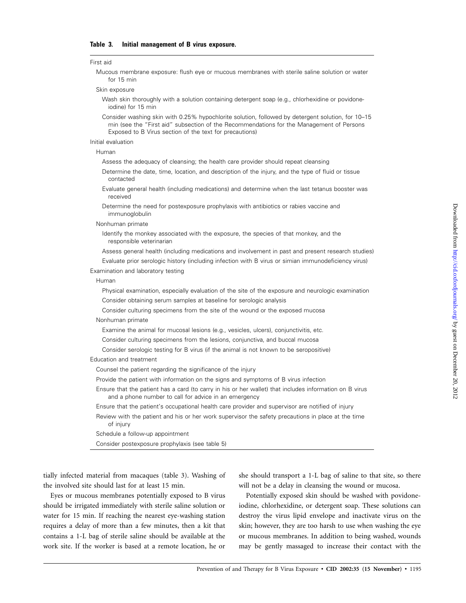#### First aid

Mucous membrane exposure: flush eye or mucous membranes with sterile saline solution or water for 15 min

#### Skin exposure

- Wash skin thoroughly with a solution containing detergent soap (e.g., chlorhexidine or povidoneiodine) for 15 min
- Consider washing skin with 0.25% hypochlorite solution, followed by detergent solution, for 10–15 min (see the "First aid" subsection of the Recommendations for the Management of Persons Exposed to B Virus section of the text for precautions)

## Initial evaluation

Human

Assess the adequacy of cleansing; the health care provider should repeat cleansing

- Determine the date, time, location, and description of the injury, and the type of fluid or tissue contacted
- Evaluate general health (including medications) and determine when the last tetanus booster was received
- Determine the need for postexposure prophylaxis with antibiotics or rabies vaccine and immunoglobulin
- Nonhuman primate
	- Identify the monkey associated with the exposure, the species of that monkey, and the responsible veterinarian
	- Assess general health (including medications and involvement in past and present research studies) Evaluate prior serologic history (including infection with B virus or simian immunodeficiency virus)
- Examination and laboratory testing

#### Human

- Physical examination, especially evaluation of the site of the exposure and neurologic examination Consider obtaining serum samples at baseline for serologic analysis
- Consider culturing specimens from the site of the wound or the exposed mucosa

#### Nonhuman primate

- Examine the animal for mucosal lesions (e.g., vesicles, ulcers), conjunctivitis, etc.
- Consider culturing specimens from the lesions, conjunctiva, and buccal mucosa
- Consider serologic testing for B virus (if the animal is not known to be seropositive)

#### Education and treatment

- Counsel the patient regarding the significance of the injury
- Provide the patient with information on the signs and symptoms of B virus infection
- Ensure that the patient has a card (to carry in his or her wallet) that includes information on B virus and a phone number to call for advice in an emergency
- Ensure that the patient's occupational health care provider and supervisor are notified of injury
- Review with the patient and his or her work supervisor the safety precautions in place at the time of injury

Schedule a follow-up appointment

Consider postexposure prophylaxis (see table 5)

tially infected material from macaques (table 3). Washing of the involved site should last for at least 15 min.

Eyes or mucous membranes potentially exposed to B virus should be irrigated immediately with sterile saline solution or water for 15 min. If reaching the nearest eye-washing station requires a delay of more than a few minutes, then a kit that contains a 1-L bag of sterile saline should be available at the work site. If the worker is based at a remote location, he or

she should transport a 1-L bag of saline to that site, so there will not be a delay in cleansing the wound or mucosa.

Potentially exposed skin should be washed with povidoneiodine, chlorhexidine, or detergent soap. These solutions can destroy the virus lipid envelope and inactivate virus on the skin; however, they are too harsh to use when washing the eye or mucous membranes. In addition to being washed, wounds may be gently massaged to increase their contact with the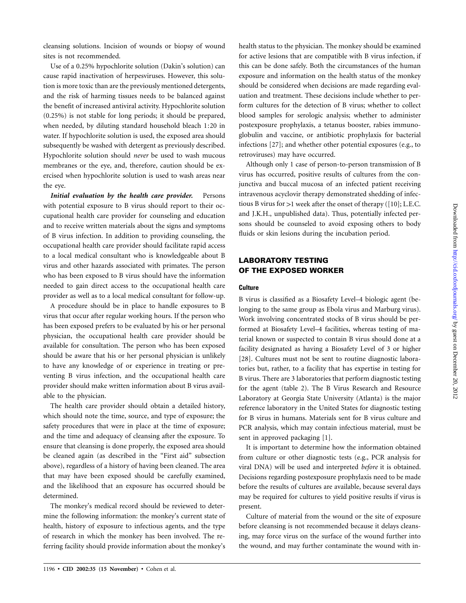cleansing solutions. Incision of wounds or biopsy of wound sites is not recommended.

Use of a 0.25% hypochlorite solution (Dakin's solution) can cause rapid inactivation of herpesviruses. However, this solution is more toxic than are the previously mentioned detergents, and the risk of harming tissues needs to be balanced against the benefit of increased antiviral activity. Hypochlorite solution (0.25%) is not stable for long periods; it should be prepared, when needed, by diluting standard household bleach 1:20 in water. If hypochlorite solution is used, the exposed area should subsequently be washed with detergent as previously described. Hypochlorite solution should *never* be used to wash mucous membranes or the eye, and, therefore, caution should be exercised when hypochlorite solution is used to wash areas near the eye.

*Initial evaluation by the health care provider.* Persons with potential exposure to B virus should report to their occupational health care provider for counseling and education and to receive written materials about the signs and symptoms of B virus infection. In addition to providing counseling, the occupational health care provider should facilitate rapid access to a local medical consultant who is knowledgeable about B virus and other hazards associated with primates. The person who has been exposed to B virus should have the information needed to gain direct access to the occupational health care provider as well as to a local medical consultant for follow-up.

A procedure should be in place to handle exposures to B virus that occur after regular working hours. If the person who has been exposed prefers to be evaluated by his or her personal physician, the occupational health care provider should be available for consultation. The person who has been exposed should be aware that his or her personal physician is unlikely to have any knowledge of or experience in treating or preventing B virus infection, and the occupational health care provider should make written information about B virus available to the physician.

The health care provider should obtain a detailed history, which should note the time, source, and type of exposure; the safety procedures that were in place at the time of exposure; and the time and adequacy of cleansing after the exposure. To ensure that cleansing is done properly, the exposed area should be cleaned again (as described in the "First aid" subsection above), regardless of a history of having been cleaned. The area that may have been exposed should be carefully examined, and the likelihood that an exposure has occurred should be determined.

The monkey's medical record should be reviewed to determine the following information: the monkey's current state of health, history of exposure to infectious agents, and the type of research in which the monkey has been involved. The referring facility should provide information about the monkey's health status to the physician. The monkey should be examined for active lesions that are compatible with B virus infection, if this can be done safely. Both the circumstances of the human exposure and information on the health status of the monkey should be considered when decisions are made regarding evaluation and treatment. These decisions include whether to perform cultures for the detection of B virus; whether to collect blood samples for serologic analysis; whether to administer postexposure prophylaxis, a tetanus booster, rabies immunoglobulin and vaccine, or antibiotic prophylaxis for bacterial infections [27]; and whether other potential exposures (e.g., to retroviruses) may have occurred.

Although only 1 case of person-to-person transmission of B virus has occurred, positive results of cultures from the conjunctiva and buccal mucosa of an infected patient receiving intravenous acyclovir therapy demonstrated shedding of infectious B virus for  $>1$  week after the onset of therapy ([10]; L.E.C. and J.K.H., unpublished data). Thus, potentially infected persons should be counseled to avoid exposing others to body fluids or skin lesions during the incubation period.

# **LABORATORY TESTING OF THE EXPOSED WORKER**

## **Culture**

B virus is classified as a Biosafety Level–4 biologic agent (belonging to the same group as Ebola virus and Marburg virus). Work involving concentrated stocks of B virus should be performed at Biosafety Level–4 facilities, whereas testing of material known or suspected to contain B virus should done at a facility designated as having a Biosafety Level of 3 or higher [28]. Cultures must not be sent to routine diagnostic laboratories but, rather, to a facility that has expertise in testing for B virus. There are 3 laboratories that perform diagnostic testing for the agent (table 2). The B Virus Research and Resource Laboratory at Georgia State University (Atlanta) is the major reference laboratory in the United States for diagnostic testing for B virus in humans. Materials sent for B virus culture and PCR analysis, which may contain infectious material, must be sent in approved packaging [1].

It is important to determine how the information obtained from culture or other diagnostic tests (e.g., PCR analysis for viral DNA) will be used and interpreted *before* it is obtained. Decisions regarding postexposure prophylaxis need to be made before the results of cultures are available, because several days may be required for cultures to yield positive results if virus is present.

Culture of material from the wound or the site of exposure before cleansing is not recommended because it delays cleansing, may force virus on the surface of the wound further into the wound, and may further contaminate the wound with in-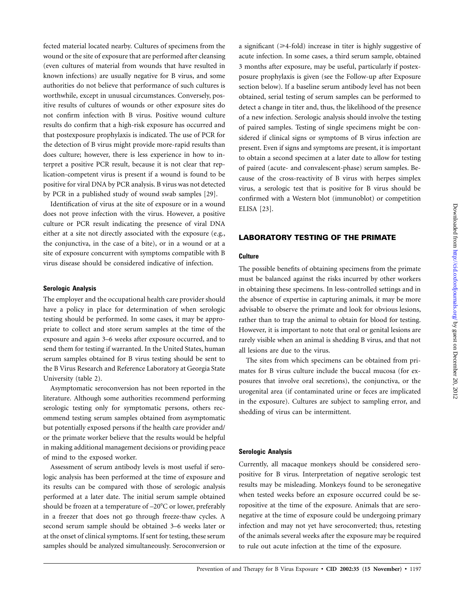fected material located nearby. Cultures of specimens from the wound or the site of exposure that are performed after cleansing (even cultures of material from wounds that have resulted in known infections) are usually negative for B virus, and some authorities do not believe that performance of such cultures is worthwhile, except in unusual circumstances. Conversely, positive results of cultures of wounds or other exposure sites do not confirm infection with B virus. Positive wound culture results do confirm that a high-risk exposure has occurred and that postexposure prophylaxis is indicated. The use of PCR for the detection of B virus might provide more-rapid results than does culture; however, there is less experience in how to interpret a positive PCR result, because it is not clear that replication-competent virus is present if a wound is found to be positive for viral DNA by PCR analysis. B virus was not detected by PCR in a published study of wound swab samples [29].

Identification of virus at the site of exposure or in a wound does not prove infection with the virus. However, a positive culture or PCR result indicating the presence of viral DNA either at a site not directly associated with the exposure (e.g., the conjunctiva, in the case of a bite), or in a wound or at a site of exposure concurrent with symptoms compatible with B virus disease should be considered indicative of infection.

## **Serologic Analysis**

The employer and the occupational health care provider should have a policy in place for determination of when serologic testing should be performed. In some cases, it may be appropriate to collect and store serum samples at the time of the exposure and again 3–6 weeks after exposure occurred, and to send them for testing if warranted. In the United States, human serum samples obtained for B virus testing should be sent to the B Virus Research and Reference Laboratory at Georgia State University (table 2).

Asymptomatic seroconversion has not been reported in the literature. Although some authorities recommend performing serologic testing only for symptomatic persons, others recommend testing serum samples obtained from asymptomatic but potentially exposed persons if the health care provider and/ or the primate worker believe that the results would be helpful in making additional management decisions or providing peace of mind to the exposed worker.

Assessment of serum antibody levels is most useful if serologic analysis has been performed at the time of exposure and its results can be compared with those of serologic analysis performed at a later date. The initial serum sample obtained should be frozen at a temperature of  $-20^{\circ}$ C or lower, preferably in a freezer that does not go through freeze-thaw cycles. A second serum sample should be obtained 3–6 weeks later or at the onset of clinical symptoms. If sent for testing, these serum samples should be analyzed simultaneously. Seroconversion or

a significant  $(\geq 4$ -fold) increase in titer is highly suggestive of acute infection. In some cases, a third serum sample, obtained 3 months after exposure, may be useful, particularly if postexposure prophylaxis is given (see the Follow-up after Exposure section below). If a baseline serum antibody level has not been obtained, serial testing of serum samples can be performed to detect a change in titer and, thus, the likelihood of the presence of a new infection. Serologic analysis should involve the testing of paired samples. Testing of single specimens might be considered if clinical signs or symptoms of B virus infection are present. Even if signs and symptoms are present, it is important to obtain a second specimen at a later date to allow for testing of paired (acute- and convalescent-phase) serum samples. Because of the cross-reactivity of B virus with herpes simplex virus, a serologic test that is positive for B virus should be confirmed with a Western blot (immunoblot) or competition ELISA [23].

## **LABORATORY TESTING OF THE PRIMATE**

## **Culture**

The possible benefits of obtaining specimens from the primate must be balanced against the risks incurred by other workers in obtaining these specimens. In less-controlled settings and in the absence of expertise in capturing animals, it may be more advisable to observe the primate and look for obvious lesions, rather than to trap the animal to obtain for blood for testing. However, it is important to note that oral or genital lesions are rarely visible when an animal is shedding B virus, and that not all lesions are due to the virus.

The sites from which specimens can be obtained from primates for B virus culture include the buccal mucosa (for exposures that involve oral secretions), the conjunctiva, or the urogenital area (if contaminated urine or feces are implicated in the exposure). Cultures are subject to sampling error, and shedding of virus can be intermittent.

## **Serologic Analysis**

Currently, all macaque monkeys should be considered seropositive for B virus. Interpretation of negative serologic test results may be misleading. Monkeys found to be seronegative when tested weeks before an exposure occurred could be seropositive at the time of the exposure. Animals that are seronegative at the time of exposure could be undergoing primary infection and may not yet have seroconverted; thus, retesting of the animals several weeks after the exposure may be required to rule out acute infection at the time of the exposure.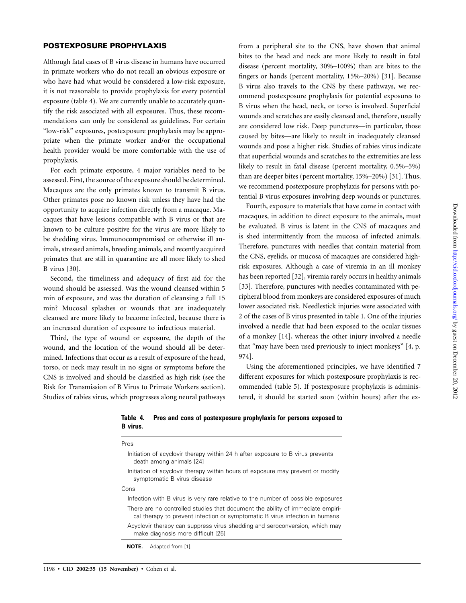## **POSTEXPOSURE PROPHYLAXIS**

Although fatal cases of B virus disease in humans have occurred in primate workers who do not recall an obvious exposure or who have had what would be considered a low-risk exposure, it is not reasonable to provide prophylaxis for every potential exposure (table 4). We are currently unable to accurately quantify the risk associated with all exposures. Thus, these recommendations can only be considered as guidelines. For certain "low-risk" exposures, postexposure prophylaxis may be appropriate when the primate worker and/or the occupational health provider would be more comfortable with the use of prophylaxis.

For each primate exposure, 4 major variables need to be assessed. First, the source of the exposure should be determined. Macaques are the only primates known to transmit B virus. Other primates pose no known risk unless they have had the opportunity to acquire infection directly from a macaque. Macaques that have lesions compatible with B virus or that are known to be culture positive for the virus are more likely to be shedding virus. Immunocompromised or otherwise ill animals, stressed animals, breeding animals, and recently acquired primates that are still in quarantine are all more likely to shed B virus [30].

Second, the timeliness and adequacy of first aid for the wound should be assessed. Was the wound cleansed within 5 min of exposure, and was the duration of cleansing a full 15 min? Mucosal splashes or wounds that are inadequately cleansed are more likely to become infected, because there is an increased duration of exposure to infectious material.

Third, the type of wound or exposure, the depth of the wound, and the location of the wound should all be determined. Infections that occur as a result of exposure of the head, torso, or neck may result in no signs or symptoms before the CNS is involved and should be classified as high risk (see the Risk for Transmission of B Virus to Primate Workers section). Studies of rabies virus, which progresses along neural pathways

**B virus.**

from a peripheral site to the CNS, have shown that animal bites to the head and neck are more likely to result in fatal disease (percent mortality, 30%–100%) than are bites to the fingers or hands (percent mortality, 15%–20%) [31]. Because B virus also travels to the CNS by these pathways, we recommend postexposure prophylaxis for potential exposures to B virus when the head, neck, or torso is involved. Superficial wounds and scratches are easily cleansed and, therefore, usually are considered low risk. Deep punctures—in particular, those caused by bites—are likely to result in inadequately cleansed wounds and pose a higher risk. Studies of rabies virus indicate that superficial wounds and scratches to the extremities are less likely to result in fatal disease (percent mortality, 0.5%–5%) than are deeper bites (percent mortality, 15%–20%) [31]. Thus, we recommend postexposure prophylaxis for persons with potential B virus exposures involving deep wounds or punctures.

Fourth, exposure to materials that have come in contact with macaques, in addition to direct exposure to the animals, must be evaluated. B virus is latent in the CNS of macaques and is shed intermittently from the mucosa of infected animals. Therefore, punctures with needles that contain material from the CNS, eyelids, or mucosa of macaques are considered highrisk exposures. Although a case of viremia in an ill monkey has been reported [32], viremia rarely occurs in healthy animals [33]. Therefore, punctures with needles contaminated with peripheral blood from monkeys are considered exposures of much lower associated risk. Needlestick injuries were associated with 2 of the cases of B virus presented in table 1. One of the injuries involved a needle that had been exposed to the ocular tissues of a monkey [14], whereas the other injury involved a needle that "may have been used previously to inject monkeys" [4, p. 974].

Using the aforementioned principles, we have identified 7 different exposures for which postexposure prophylaxis is recommended (table 5). If postexposure prophylaxis is administered, it should be started soon (within hours) after the ex-

| Pros                                                                                                                                                          |
|---------------------------------------------------------------------------------------------------------------------------------------------------------------|
| Initiation of acyclovir therapy within 24 h after exposure to B virus prevents<br>death among animals [24]                                                    |
| Initiation of acyclovir therapy within hours of exposure may prevent or modify<br>symptomatic B virus disease                                                 |
| Cons                                                                                                                                                          |
| Infection with B virus is very rare relative to the number of possible exposures                                                                              |
| There are no controlled studies that document the ability of immediate empiri-<br>cal therapy to prevent infection or symptomatic B virus infection in humans |
| Acyclovir therapy can suppress virus shedding and seroconversion, which may<br>make diagnosis more difficult [25]                                             |
| Adapted from [1].                                                                                                                                             |

**Table 4. Pros and cons of postexposure prophylaxis for persons exposed to**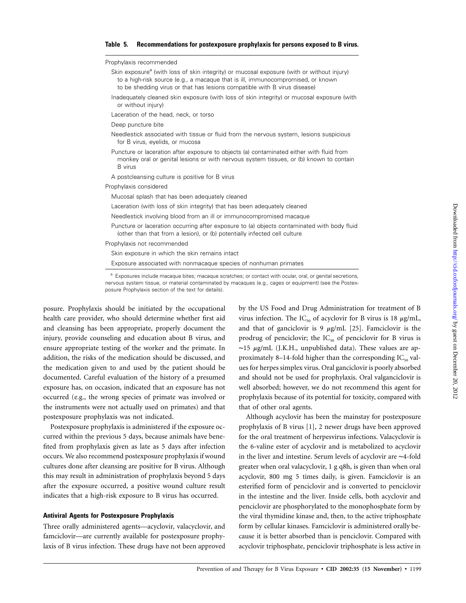## **Table 5. Recommendations for postexposure prophylaxis for persons exposed to B virus.**

Prophylaxis recommended

- Skin exposure<sup>a</sup> (with loss of skin integrity) or mucosal exposure (with or without injury) to a high-risk source (e.g., a macaque that is ill, immunocompromised, or known to be shedding virus or that has lesions compatible with B virus disease)
- Inadequately cleaned skin exposure (with loss of skin integrity) or mucosal exposure (with or without injury)
- Laceration of the head, neck, or torso
- Deep puncture bite
- Needlestick associated with tissue or fluid from the nervous system, lesions suspicious for B virus, eyelids, or mucosa
- Puncture or laceration after exposure to objects (a) contaminated either with fluid from monkey oral or genital lesions or with nervous system tissues, or (b) known to contain B virus
- A postcleansing culture is positive for B virus

#### Prophylaxis considered

Mucosal splash that has been adequately cleaned

- Laceration (with loss of skin integrity) that has been adequately cleaned
- Needlestick involving blood from an ill or immunocompromised macaque
- Puncture or laceration occurring after exposure to (a) objects contaminated with body fluid (other than that from a lesion), or (b) potentially infected cell culture

Prophylaxis not recommended

Skin exposure in which the skin remains intact

Exposure associated with nonmacaque species of nonhuman primates

<sup>a</sup> Exposures include macaque bites; macaque scratches; or contact with ocular, oral, or genital secretions, nervous system tissue, or material contaminated by macaques (e.g., cages or equipment) (see the Postexposure Prophylaxis section of the text for details).

posure. Prophylaxis should be initiated by the occupational health care provider, who should determine whether first aid and cleansing has been appropriate, properly document the injury, provide counseling and education about B virus, and ensure appropriate testing of the worker and the primate. In addition, the risks of the medication should be discussed, and the medication given to and used by the patient should be documented. Careful evaluation of the history of a presumed exposure has, on occasion, indicated that an exposure has not occurred (e.g., the wrong species of primate was involved or the instruments were not actually used on primates) and that postexposure prophylaxis was not indicated.

Postexposure prophylaxis is administered if the exposure occurred within the previous 5 days, because animals have benefited from prophylaxis given as late as 5 days after infection occurs. We also recommend postexposure prophylaxis if wound cultures done after cleansing are positive for B virus. Although this may result in administration of prophylaxis beyond 5 days after the exposure occurred, a positive wound culture result indicates that a high-risk exposure to B virus has occurred.

#### **Antiviral Agents for Postexposure Prophylaxis**

Three orally administered agents—acyclovir, valacyclovir, and famciclovir—are currently available for postexposure prophylaxis of B virus infection. These drugs have not been approved

by the US Food and Drug Administration for treatment of B virus infection. The  $IC_{50}$  of acyclovir for B virus is 18  $\mu$ g/mL, and that of ganciclovir is 9  $\mu$ g/mL [25]. Famciclovir is the prodrug of penciclovir; the  $IC_{50}$  of penciclovir for B virus is ∼15 mg/mL (J.K.H., unpublished data). These values are approximately 8–14-fold higher than the corresponding  $IC_{50}$  values for herpes simplex virus. Oral ganciclovir is poorly absorbed and should not be used for prophylaxis. Oral valganciclovir is well absorbed; however, we do not recommend this agent for prophylaxis because of its potential for toxicity, compared with that of other oral agents.

Although acyclovir has been the mainstay for postexposure prophylaxis of B virus [1], 2 newer drugs have been approved for the oral treatment of herpesvirus infections. Valacyclovir is the 6-valine ester of acyclovir and is metabolized to acyclovir in the liver and intestine. Serum levels of acyclovir are ∼4-fold greater when oral valacyclovir, 1 g q8h, is given than when oral acyclovir, 800 mg 5 times daily, is given. Famciclovir is an esterified form of penciclovir and is converted to penciclovir in the intestine and the liver. Inside cells, both acyclovir and penciclovir are phosphorylated to the monophosphate form by the viral thymidine kinase and, then, to the active triphosphate form by cellular kinases. Famciclovir is administered orally because it is better absorbed than is penciclovir. Compared with acyclovir triphosphate, penciclovir triphosphate is less active in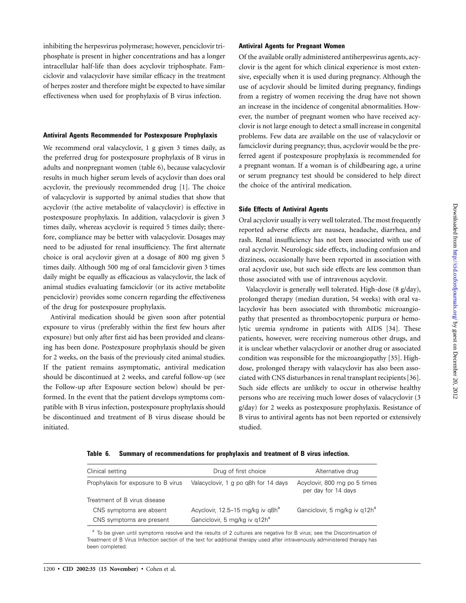inhibiting the herpesvirus polymerase; however, penciclovir triphosphate is present in higher concentrations and has a longer intracellular half-life than does acyclovir triphosphate. Famciclovir and valacyclovir have similar efficacy in the treatment of herpes zoster and therefore might be expected to have similar effectiveness when used for prophylaxis of B virus infection.

### **Antiviral Agents Recommended for Postexposure Prophylaxis**

We recommend oral valacyclovir, 1 g given 3 times daily, as the preferred drug for postexposure prophylaxis of B virus in adults and nonpregnant women (table 6), because valacyclovir results in much higher serum levels of acyclovir than does oral acyclovir, the previously recommended drug [1]. The choice of valacyclovir is supported by animal studies that show that acyclovir (the active metabolite of valacyclovir) is effective in postexposure prophylaxis. In addition, valacyclovir is given 3 times daily, whereas acyclovir is required 5 times daily; therefore, compliance may be better with valacyclovir. Dosages may need to be adjusted for renal insufficiency. The first alternate choice is oral acyclovir given at a dosage of 800 mg given 5 times daily. Although 500 mg of oral famciclovir given 3 times daily might be equally as efficacious as valacyclovir, the lack of animal studies evaluating famciclovir (or its active metabolite penciclovir) provides some concern regarding the effectiveness of the drug for postexposure prophylaxis.

Antiviral medication should be given soon after potential exposure to virus (preferably within the first few hours after exposure) but only after first aid has been provided and cleansing has been done. Postexposure prophylaxis should be given for 2 weeks, on the basis of the previously cited animal studies. If the patient remains asymptomatic, antiviral medication should be discontinued at 2 weeks, and careful follow-up (see the Follow-up after Exposure section below) should be performed. In the event that the patient develops symptoms compatible with B virus infection, postexposure prophylaxis should be discontinued and treatment of B virus disease should be initiated.

## **Antiviral Agents for Pregnant Women**

Of the available orally administered antiherpesvirus agents, acyclovir is the agent for which clinical experience is most extensive, especially when it is used during pregnancy. Although the use of acyclovir should be limited during pregnancy, findings from a registry of women receiving the drug have not shown an increase in the incidence of congenital abnormalities. However, the number of pregnant women who have received acyclovir is not large enough to detect a small increase in congenital problems. Few data are available on the use of valacyclovir or famciclovir during pregnancy; thus, acyclovir would be the preferred agent if postexposure prophylaxis is recommended for a pregnant woman. If a woman is of childbearing age, a urine or serum pregnancy test should be considered to help direct the choice of the antiviral medication.

## **Side Effects of Antiviral Agents**

Oral acyclovir usually is very well tolerated. The most frequently reported adverse effects are nausea, headache, diarrhea, and rash. Renal insufficiency has not been associated with use of oral acyclovir. Neurologic side effects, including confusion and dizziness, occasionally have been reported in association with oral acyclovir use, but such side effects are less common than those associated with use of intravenous acyclovir.

Valacyclovir is generally well tolerated. High-dose (8 g/day), prolonged therapy (median duration, 54 weeks) with oral valacyclovir has been associated with thrombotic microangiopathy that presented as thrombocytopenic purpura or hemolytic uremia syndrome in patients with AIDS [34]. These patients, however, were receiving numerous other drugs, and it is unclear whether valacyclovir or another drug or associated condition was responsible for the microangiopathy [35]. Highdose, prolonged therapy with valacyclovir has also been associated with CNS disturbances in renal transplant recipients [36]. Such side effects are unlikely to occur in otherwise healthy persons who are receiving much lower doses of valacyclovir (3 g/day) for 2 weeks as postexposure prophylaxis. Resistance of B virus to antiviral agents has not been reported or extensively studied.

**Table 6. Summary of recommendations for prophylaxis and treatment of B virus infection.**

| Clinical setting                    | Drug of first choice                         | Alternative drug                                    |
|-------------------------------------|----------------------------------------------|-----------------------------------------------------|
| Prophylaxis for exposure to B virus | Valacyclovir, 1 g po q8h for 14 days         | Acyclovir, 800 mg po 5 times<br>per day for 14 days |
| Treatment of B virus disease        |                                              |                                                     |
| CNS symptoms are absent             | Acyclovir, 12.5–15 mg/kg iv g8h <sup>a</sup> | Ganciclovir, 5 mg/kg iv g12h <sup>a</sup>           |
| CNS symptoms are present            | Ganciclovir, 5 mg/kg iv g12h <sup>a</sup>    |                                                     |

<sup>a</sup> To be given until symptoms resolve and the results of 2 cultures are negative for B virus; see the Discontinuation of Treatment of B Virus Infection section of the text for additional therapy used after intravenously administered therapy has been completed.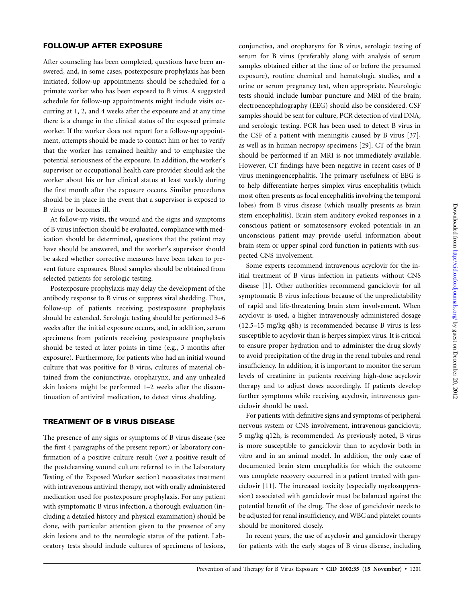## **FOLLOW-UP AFTER EXPOSURE**

After counseling has been completed, questions have been answered, and, in some cases, postexposure prophylaxis has been initiated, follow-up appointments should be scheduled for a primate worker who has been exposed to B virus. A suggested schedule for follow-up appointments might include visits occurring at 1, 2, and 4 weeks after the exposure and at any time there is a change in the clinical status of the exposed primate worker. If the worker does not report for a follow-up appointment, attempts should be made to contact him or her to verify that the worker has remained healthy and to emphasize the potential seriousness of the exposure. In addition, the worker's supervisor or occupational health care provider should ask the worker about his or her clinical status at least weekly during the first month after the exposure occurs. Similar procedures should be in place in the event that a supervisor is exposed to B virus or becomes ill.

At follow-up visits, the wound and the signs and symptoms of B virus infection should be evaluated, compliance with medication should be determined, questions that the patient may have should be answered, and the worker's supervisor should be asked whether corrective measures have been taken to prevent future exposures. Blood samples should be obtained from selected patients for serologic testing.

Postexposure prophylaxis may delay the development of the antibody response to B virus or suppress viral shedding. Thus, follow-up of patients receiving postexposure prophylaxis should be extended. Serologic testing should be performed 3–6 weeks after the initial exposure occurs, and, in addition, serum specimens from patients receiving postexposure prophylaxis should be tested at later points in time (e.g., 3 months after exposure). Furthermore, for patients who had an initial wound culture that was positive for B virus, cultures of material obtained from the conjunctivae, oropharynx, and any unhealed skin lesions might be performed 1–2 weeks after the discontinuation of antiviral medication, to detect virus shedding.

## **TREATMENT OF B VIRUS DISEASE**

The presence of any signs or symptoms of B virus disease (see the first 4 paragraphs of the present report) or laboratory confirmation of a positive culture result (*not* a positive result of the postcleansing wound culture referred to in the Laboratory Testing of the Exposed Worker section) necessitates treatment with intravenous antiviral therapy, not with orally administered medication used for postexposure prophylaxis. For any patient with symptomatic B virus infection, a thorough evaluation (including a detailed history and physical examination) should be done, with particular attention given to the presence of any skin lesions and to the neurologic status of the patient. Laboratory tests should include cultures of specimens of lesions,

conjunctiva, and oropharynx for B virus, serologic testing of serum for B virus (preferably along with analysis of serum samples obtained either at the time of or before the presumed exposure), routine chemical and hematologic studies, and a urine or serum pregnancy test, when appropriate. Neurologic tests should include lumbar puncture and MRI of the brain; electroencephalography (EEG) should also be considered. CSF samples should be sent for culture, PCR detection of viral DNA, and serologic testing. PCR has been used to detect B virus in the CSF of a patient with meningitis caused by B virus [37], as well as in human necropsy specimens [29]. CT of the brain should be performed if an MRI is not immediately available. However, CT findings have been negative in recent cases of B virus meningoencephalitis. The primary usefulness of EEG is to help differentiate herpes simplex virus encephalitis (which most often presents as focal encephalitis involving the temporal lobes) from B virus disease (which usually presents as brain stem encephalitis). Brain stem auditory evoked responses in a conscious patient or somatosensory evoked potentials in an unconscious patient may provide useful information about brain stem or upper spinal cord function in patients with suspected CNS involvement.

Some experts recommend intravenous acyclovir for the initial treatment of B virus infection in patients without CNS disease [1]. Other authorities recommend ganciclovir for all symptomatic B virus infections because of the unpredictability of rapid and life-threatening brain stem involvement. When acyclovir is used, a higher intravenously administered dosage (12.5–15 mg/kg q8h) is recommended because B virus is less susceptible to acyclovir than is herpes simplex virus. It is critical to ensure proper hydration and to administer the drug slowly to avoid precipitation of the drug in the renal tubules and renal insufficiency. In addition, it is important to monitor the serum levels of creatinine in patients receiving high-dose acyclovir therapy and to adjust doses accordingly. If patients develop further symptoms while receiving acyclovir, intravenous ganciclovir should be used.

For patients with definitive signs and symptoms of peripheral nervous system or CNS involvement, intravenous ganciclovir, 5 mg/kg q12h, is recommended. As previously noted, B virus is more susceptible to ganciclovir than to acyclovir both in vitro and in an animal model. In addition, the only case of documented brain stem encephalitis for which the outcome was complete recovery occurred in a patient treated with ganciclovir [11]. The increased toxicity (especially myelosuppression) associated with ganciclovir must be balanced against the potential benefit of the drug. The dose of ganciclovir needs to be adjusted for renal insufficiency, and WBC and platelet counts should be monitored closely.

In recent years, the use of acyclovir and ganciclovir therapy for patients with the early stages of B virus disease, including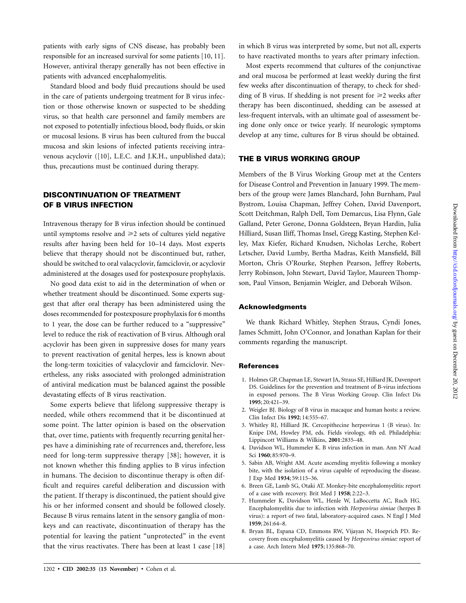patients with early signs of CNS disease, has probably been responsible for an increased survival for some patients [10, 11]. However, antiviral therapy generally has not been effective in patients with advanced encephalomyelitis.

Standard blood and body fluid precautions should be used in the care of patients undergoing treatment for B virus infection or those otherwise known or suspected to be shedding virus, so that health care personnel and family members are not exposed to potentially infectious blood, body fluids, or skin or mucosal lesions. B virus has been cultured from the buccal mucosa and skin lesions of infected patients receiving intravenous acyclovir ([10], L.E.C. and J.K.H., unpublished data); thus, precautions must be continued during therapy.

# **DISCONTINUATION OF TREATMENT OF B VIRUS INFECTION**

Intravenous therapy for B virus infection should be continued until symptoms resolve and  $\geq 2$  sets of cultures yield negative results after having been held for 10–14 days. Most experts believe that therapy should not be discontinued but, rather, should be switched to oral valacyclovir, famciclovir, or acyclovir administered at the dosages used for postexposure prophylaxis.

No good data exist to aid in the determination of when or whether treatment should be discontinued. Some experts suggest that after oral therapy has been administered using the doses recommended for postexposure prophylaxis for 6 months to 1 year, the dose can be further reduced to a "suppressive" level to reduce the risk of reactivation of B virus. Although oral acyclovir has been given in suppressive doses for many years to prevent reactivation of genital herpes, less is known about the long-term toxicities of valacyclovir and famciclovir. Nevertheless, any risks associated with prolonged administration of antiviral medication must be balanced against the possible devastating effects of B virus reactivation.

Some experts believe that lifelong suppressive therapy is needed, while others recommend that it be discontinued at some point. The latter opinion is based on the observation that, over time, patients with frequently recurring genital herpes have a diminishing rate of recurrences and, therefore, less need for long-term suppressive therapy [38]; however, it is not known whether this finding applies to B virus infection in humans. The decision to discontinue therapy is often difficult and requires careful deliberation and discussion with the patient. If therapy is discontinued, the patient should give his or her informed consent and should be followed closely. Because B virus remains latent in the sensory ganglia of monkeys and can reactivate, discontinuation of therapy has the potential for leaving the patient "unprotected" in the event that the virus reactivates. There has been at least 1 case [18]

in which B virus was interpreted by some, but not all, experts to have reactivated months to years after primary infection.

Most experts recommend that cultures of the conjunctivae and oral mucosa be performed at least weekly during the first few weeks after discontinuation of therapy, to check for shedding of B virus. If shedding is not present for  $\geq 2$  weeks after therapy has been discontinued, shedding can be assessed at less-frequent intervals, with an ultimate goal of assessment being done only once or twice yearly. If neurologic symptoms develop at any time, cultures for B virus should be obtained.

## **THE B VIRUS WORKING GROUP**

Members of the B Virus Working Group met at the Centers for Disease Control and Prevention in January 1999. The members of the group were James Blanchard, John Burnham, Paul Bystrom, Louisa Chapman, Jeffrey Cohen, David Davenport, Scott Deitchman, Ralph Dell, Tom Demarcus, Lisa Flynn, Gale Galland, Peter Gerone, Donna Goldsteen, Bryan Hardin, Julia Hilliard, Susan Iliff, Thomas Insel, Gregg Kasting, Stephen Kelley, Max Kiefer, Richard Knudsen, Nicholas Lerche, Robert Letscher, David Lumby, Bertha Madras, Keith Mansfield, Bill Morton, Chris O'Rourke, Stephen Pearson, Jeffrey Roberts, Jerry Robinson, John Stewart, David Taylor, Maureen Thompson, Paul Vinson, Benjamin Weigler, and Deborah Wilson.

#### **Acknowledgments**

We thank Richard Whitley, Stephen Straus, Cyndi Jones, James Schmitt, John O'Connor, and Jonathan Kaplan for their comments regarding the manuscript.

#### **References**

- 1. Holmes GP, Chapman LE, Stewart JA, Straus SE, Hilliard JK, Davenport DS. Guidelines for the prevention and treatment of B-virus infections in exposed persons. The B Virus Working Group. Clin Infect Dis **1995**; 20:421–39.
- 2. Weigler BJ. Biology of B virus in macaque and human hosts: a review. Clin Infect Dis **1992**; 14:555–67.
- 3. Whitley RJ, Hilliard JK. Cercopithecine herpesvirus 1 (B virus). In: Knipe DM, Howley PM, eds. Fields virology, 4th ed. Philadelphia: Lippincott Williams & Wilkins, **2001**:2835–48.
- 4. Davidson WL, Hummeler K. B virus infection in man. Ann NY Acad Sci **1960**; 85:970–9.
- 5. Sabin AB, Wright AM. Acute ascending myelitis following a monkey bite, with the isolation of a virus capable of reproducing the disease. J Exp Med **1934**; 59:115–36.
- 6. Breen GE, Lamb SG, Otaki AT. Monkey-bite encephalomyelitis: report of a case with recovery. Brit Med J **1958**; 2:22–3.
- 7. Hummeler K, Davidson WL, Henle W, LaBoccetta AC, Ruch HG. Encephalomyelitis due to infection with *Herpesvirus simiae* (herpes B virus): a report of two fatal, laboratory-acquired cases. N Engl J Med **1959**; 261:64–8.
- 8. Bryan BL, Espana CD, Emmons RW, Vijayan N, Hoeprich PD. Recovery from encephalomyelitis caused by *Herpesvirus simiae:* report of a case. Arch Intern Med **1975**; 135:868–70.